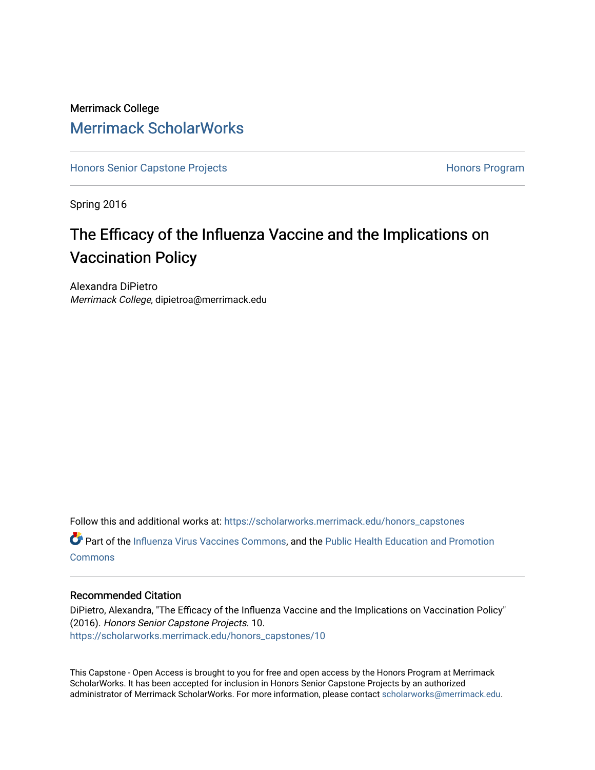### Merrimack College [Merrimack ScholarWorks](https://scholarworks.merrimack.edu/)

[Honors Senior Capstone Projects](https://scholarworks.merrimack.edu/honors_capstones) **Honors Program** Honors Program

Spring 2016

# The Efficacy of the Influenza Vaccine and the Implications on Vaccination Policy

Alexandra DiPietro Merrimack College, dipietroa@merrimack.edu

Follow this and additional works at: [https://scholarworks.merrimack.edu/honors\\_capstones](https://scholarworks.merrimack.edu/honors_capstones?utm_source=scholarworks.merrimack.edu%2Fhonors_capstones%2F10&utm_medium=PDF&utm_campaign=PDFCoverPages)

Part of the [Influenza Virus Vaccines Commons,](http://network.bepress.com/hgg/discipline/1070?utm_source=scholarworks.merrimack.edu%2Fhonors_capstones%2F10&utm_medium=PDF&utm_campaign=PDFCoverPages) and the [Public Health Education and Promotion](http://network.bepress.com/hgg/discipline/743?utm_source=scholarworks.merrimack.edu%2Fhonors_capstones%2F10&utm_medium=PDF&utm_campaign=PDFCoverPages)  **[Commons](http://network.bepress.com/hgg/discipline/743?utm_source=scholarworks.merrimack.edu%2Fhonors_capstones%2F10&utm_medium=PDF&utm_campaign=PDFCoverPages)** 

#### Recommended Citation

DiPietro, Alexandra, "The Efficacy of the Influenza Vaccine and the Implications on Vaccination Policy" (2016). Honors Senior Capstone Projects. 10. [https://scholarworks.merrimack.edu/honors\\_capstones/10](https://scholarworks.merrimack.edu/honors_capstones/10?utm_source=scholarworks.merrimack.edu%2Fhonors_capstones%2F10&utm_medium=PDF&utm_campaign=PDFCoverPages) 

This Capstone - Open Access is brought to you for free and open access by the Honors Program at Merrimack ScholarWorks. It has been accepted for inclusion in Honors Senior Capstone Projects by an authorized administrator of Merrimack ScholarWorks. For more information, please contact [scholarworks@merrimack.edu](mailto:scholarworks@merrimack.edu).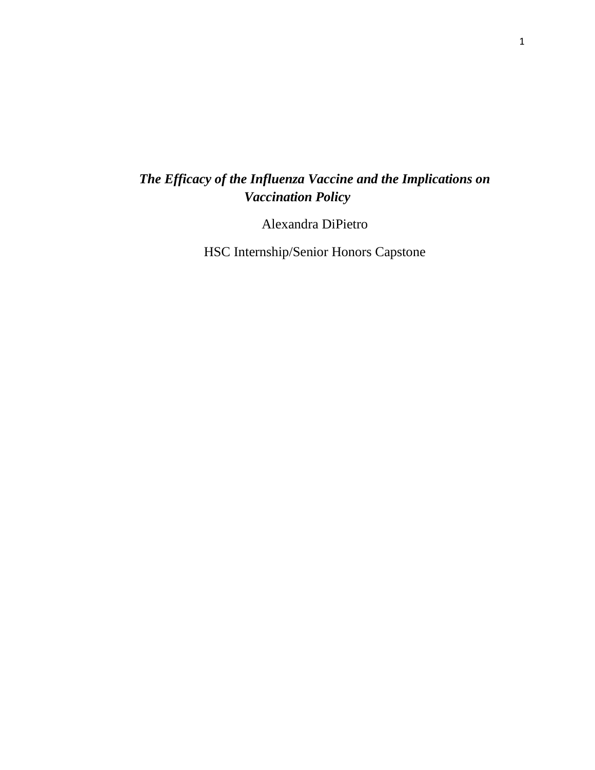## *The Efficacy of the Influenza Vaccine and the Implications on Vaccination Policy*

Alexandra DiPietro

HSC Internship/Senior Honors Capstone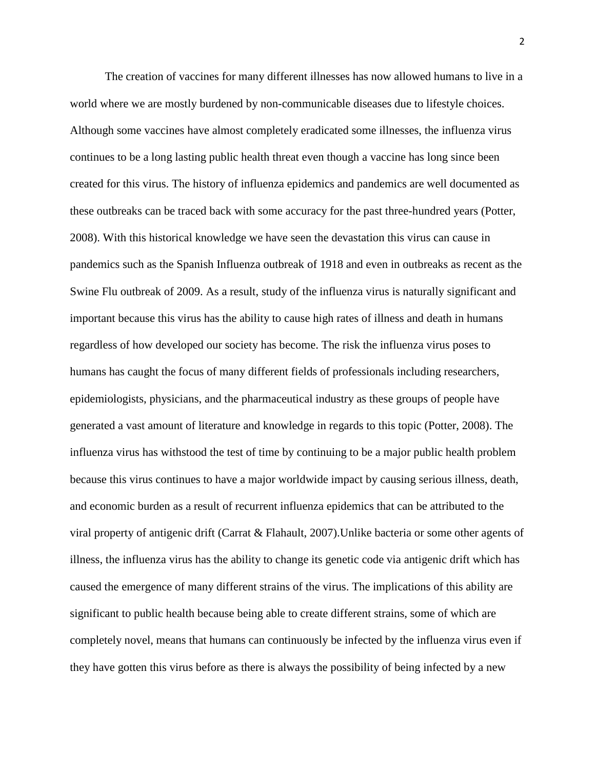The creation of vaccines for many different illnesses has now allowed humans to live in a world where we are mostly burdened by non-communicable diseases due to lifestyle choices. Although some vaccines have almost completely eradicated some illnesses, the influenza virus continues to be a long lasting public health threat even though a vaccine has long since been created for this virus. The history of influenza epidemics and pandemics are well documented as these outbreaks can be traced back with some accuracy for the past three-hundred years (Potter, 2008). With this historical knowledge we have seen the devastation this virus can cause in pandemics such as the Spanish Influenza outbreak of 1918 and even in outbreaks as recent as the Swine Flu outbreak of 2009. As a result, study of the influenza virus is naturally significant and important because this virus has the ability to cause high rates of illness and death in humans regardless of how developed our society has become. The risk the influenza virus poses to humans has caught the focus of many different fields of professionals including researchers, epidemiologists, physicians, and the pharmaceutical industry as these groups of people have generated a vast amount of literature and knowledge in regards to this topic (Potter, 2008). The influenza virus has withstood the test of time by continuing to be a major public health problem because this virus continues to have a major worldwide impact by causing serious illness, death, and economic burden as a result of recurrent influenza epidemics that can be attributed to the viral property of antigenic drift (Carrat & Flahault, 2007).Unlike bacteria or some other agents of illness, the influenza virus has the ability to change its genetic code via antigenic drift which has caused the emergence of many different strains of the virus. The implications of this ability are significant to public health because being able to create different strains, some of which are completely novel, means that humans can continuously be infected by the influenza virus even if they have gotten this virus before as there is always the possibility of being infected by a new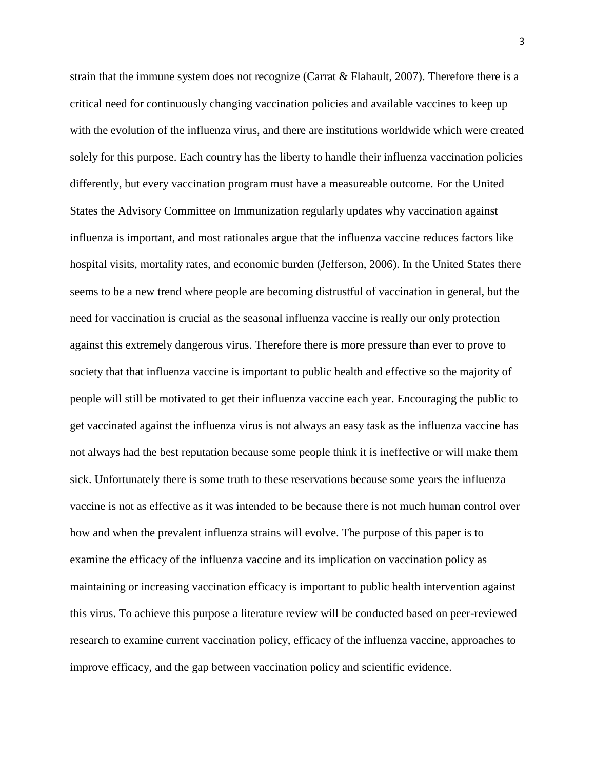strain that the immune system does not recognize (Carrat & Flahault, 2007). Therefore there is a critical need for continuously changing vaccination policies and available vaccines to keep up with the evolution of the influenza virus, and there are institutions worldwide which were created solely for this purpose. Each country has the liberty to handle their influenza vaccination policies differently, but every vaccination program must have a measureable outcome. For the United States the Advisory Committee on Immunization regularly updates why vaccination against influenza is important, and most rationales argue that the influenza vaccine reduces factors like hospital visits, mortality rates, and economic burden (Jefferson, 2006). In the United States there seems to be a new trend where people are becoming distrustful of vaccination in general, but the need for vaccination is crucial as the seasonal influenza vaccine is really our only protection against this extremely dangerous virus. Therefore there is more pressure than ever to prove to society that that influenza vaccine is important to public health and effective so the majority of people will still be motivated to get their influenza vaccine each year. Encouraging the public to get vaccinated against the influenza virus is not always an easy task as the influenza vaccine has not always had the best reputation because some people think it is ineffective or will make them sick. Unfortunately there is some truth to these reservations because some years the influenza vaccine is not as effective as it was intended to be because there is not much human control over how and when the prevalent influenza strains will evolve. The purpose of this paper is to examine the efficacy of the influenza vaccine and its implication on vaccination policy as maintaining or increasing vaccination efficacy is important to public health intervention against this virus. To achieve this purpose a literature review will be conducted based on peer-reviewed research to examine current vaccination policy, efficacy of the influenza vaccine, approaches to improve efficacy, and the gap between vaccination policy and scientific evidence.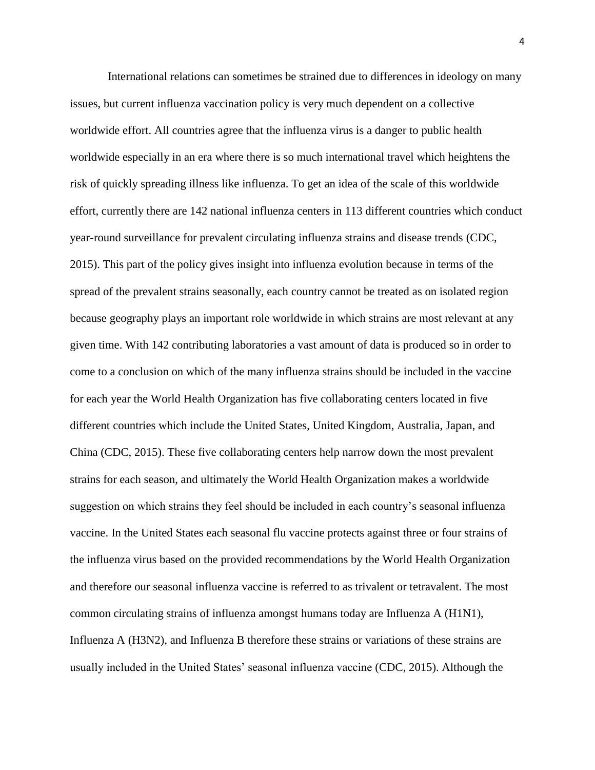International relations can sometimes be strained due to differences in ideology on many issues, but current influenza vaccination policy is very much dependent on a collective worldwide effort. All countries agree that the influenza virus is a danger to public health worldwide especially in an era where there is so much international travel which heightens the risk of quickly spreading illness like influenza. To get an idea of the scale of this worldwide effort, currently there are 142 national influenza centers in 113 different countries which conduct year-round surveillance for prevalent circulating influenza strains and disease trends (CDC, 2015). This part of the policy gives insight into influenza evolution because in terms of the spread of the prevalent strains seasonally, each country cannot be treated as on isolated region because geography plays an important role worldwide in which strains are most relevant at any given time. With 142 contributing laboratories a vast amount of data is produced so in order to come to a conclusion on which of the many influenza strains should be included in the vaccine for each year the World Health Organization has five collaborating centers located in five different countries which include the United States, United Kingdom, Australia, Japan, and China (CDC, 2015). These five collaborating centers help narrow down the most prevalent strains for each season, and ultimately the World Health Organization makes a worldwide suggestion on which strains they feel should be included in each country's seasonal influenza vaccine. In the United States each seasonal flu vaccine protects against three or four strains of the influenza virus based on the provided recommendations by the World Health Organization and therefore our seasonal influenza vaccine is referred to as trivalent or tetravalent. The most common circulating strains of influenza amongst humans today are Influenza A (H1N1), Influenza A (H3N2), and Influenza B therefore these strains or variations of these strains are usually included in the United States' seasonal influenza vaccine (CDC, 2015). Although the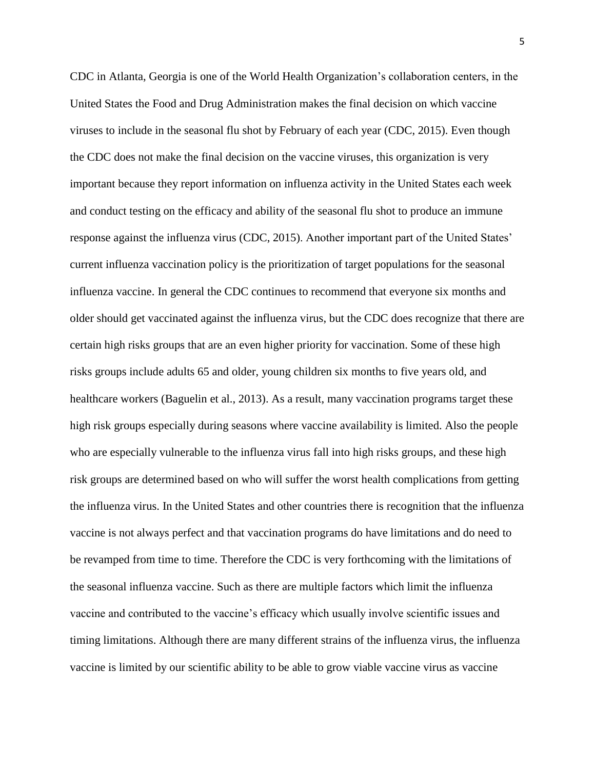CDC in Atlanta, Georgia is one of the World Health Organization's collaboration centers, in the United States the Food and Drug Administration makes the final decision on which vaccine viruses to include in the seasonal flu shot by February of each year (CDC, 2015). Even though the CDC does not make the final decision on the vaccine viruses, this organization is very important because they report information on influenza activity in the United States each week and conduct testing on the efficacy and ability of the seasonal flu shot to produce an immune response against the influenza virus (CDC, 2015). Another important part of the United States' current influenza vaccination policy is the prioritization of target populations for the seasonal influenza vaccine. In general the CDC continues to recommend that everyone six months and older should get vaccinated against the influenza virus, but the CDC does recognize that there are certain high risks groups that are an even higher priority for vaccination. Some of these high risks groups include adults 65 and older, young children six months to five years old, and healthcare workers (Baguelin et al., 2013). As a result, many vaccination programs target these high risk groups especially during seasons where vaccine availability is limited. Also the people who are especially vulnerable to the influenza virus fall into high risks groups, and these high risk groups are determined based on who will suffer the worst health complications from getting the influenza virus. In the United States and other countries there is recognition that the influenza vaccine is not always perfect and that vaccination programs do have limitations and do need to be revamped from time to time. Therefore the CDC is very forthcoming with the limitations of the seasonal influenza vaccine. Such as there are multiple factors which limit the influenza vaccine and contributed to the vaccine's efficacy which usually involve scientific issues and timing limitations. Although there are many different strains of the influenza virus, the influenza vaccine is limited by our scientific ability to be able to grow viable vaccine virus as vaccine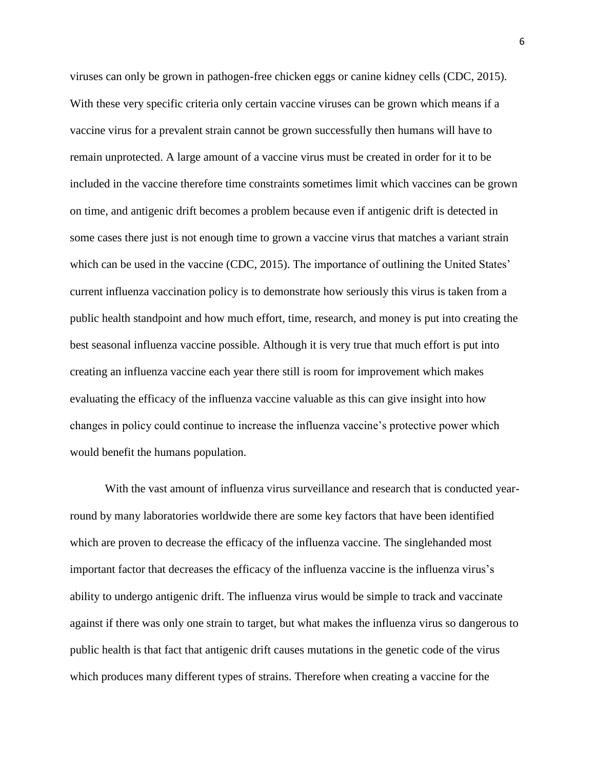viruses can only be grown in pathogen-free chicken eggs or canine kidney cells (CDC, 2015). With these very specific criteria only certain vaccine viruses can be grown which means if a vaccine virus for a prevalent strain cannot be grown successfully then humans will have to remain unprotected. A large amount of a vaccine virus must be created in order for it to be included in the vaccine therefore time constraints sometimes limit which vaccines can be grown on time, and antigenic drift becomes a problem because even if antigenic drift is detected in some cases there just is not enough time to grown a vaccine virus that matches a variant strain which can be used in the vaccine (CDC, 2015). The importance of outlining the United States' current influenza vaccination policy is to demonstrate how seriously this virus is taken from a public health standpoint and how much effort, time, research, and money is put into creating the best seasonal influenza vaccine possible. Although it is very true that much effort is put into creating an influenza vaccine each year there still is room for improvement which makes evaluating the efficacy of the influenza vaccine valuable as this can give insight into how changes in policy could continue to increase the influenza vaccine's protective power which would benefit the humans population.

With the vast amount of influenza virus surveillance and research that is conducted yearround by many laboratories worldwide there are some key factors that have been identified which are proven to decrease the efficacy of the influenza vaccine. The singlehanded most important factor that decreases the efficacy of the influenza vaccine is the influenza virus's ability to undergo antigenic drift. The influenza virus would be simple to track and vaccinate against if there was only one strain to target, but what makes the influenza virus so dangerous to public health is that fact that antigenic drift causes mutations in the genetic code of the virus which produces many different types of strains. Therefore when creating a vaccine for the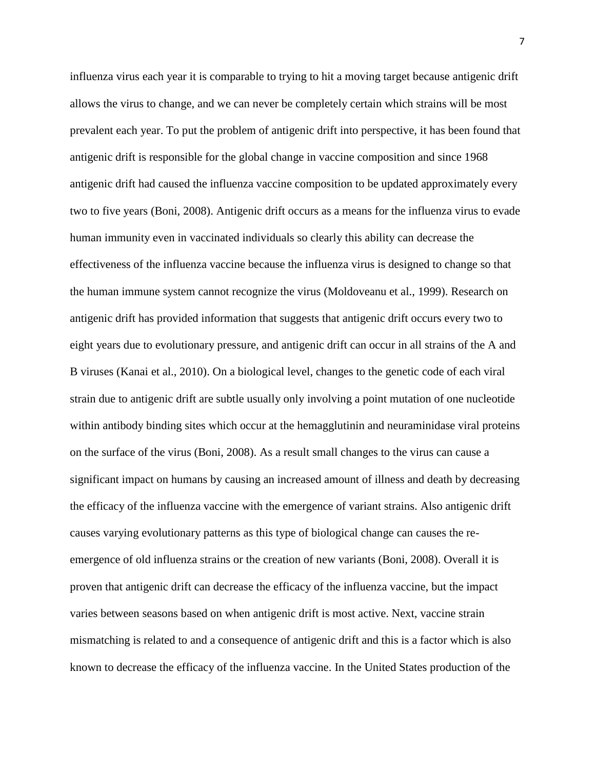influenza virus each year it is comparable to trying to hit a moving target because antigenic drift allows the virus to change, and we can never be completely certain which strains will be most prevalent each year. To put the problem of antigenic drift into perspective, it has been found that antigenic drift is responsible for the global change in vaccine composition and since 1968 antigenic drift had caused the influenza vaccine composition to be updated approximately every two to five years (Boni, 2008). Antigenic drift occurs as a means for the influenza virus to evade human immunity even in vaccinated individuals so clearly this ability can decrease the effectiveness of the influenza vaccine because the influenza virus is designed to change so that the human immune system cannot recognize the virus (Moldoveanu et al., 1999). Research on antigenic drift has provided information that suggests that antigenic drift occurs every two to eight years due to evolutionary pressure, and antigenic drift can occur in all strains of the A and B viruses (Kanai et al., 2010). On a biological level, changes to the genetic code of each viral strain due to antigenic drift are subtle usually only involving a point mutation of one nucleotide within antibody binding sites which occur at the hemagglutinin and neuraminidase viral proteins on the surface of the virus (Boni, 2008). As a result small changes to the virus can cause a significant impact on humans by causing an increased amount of illness and death by decreasing the efficacy of the influenza vaccine with the emergence of variant strains. Also antigenic drift causes varying evolutionary patterns as this type of biological change can causes the reemergence of old influenza strains or the creation of new variants (Boni, 2008). Overall it is proven that antigenic drift can decrease the efficacy of the influenza vaccine, but the impact varies between seasons based on when antigenic drift is most active. Next, vaccine strain mismatching is related to and a consequence of antigenic drift and this is a factor which is also known to decrease the efficacy of the influenza vaccine. In the United States production of the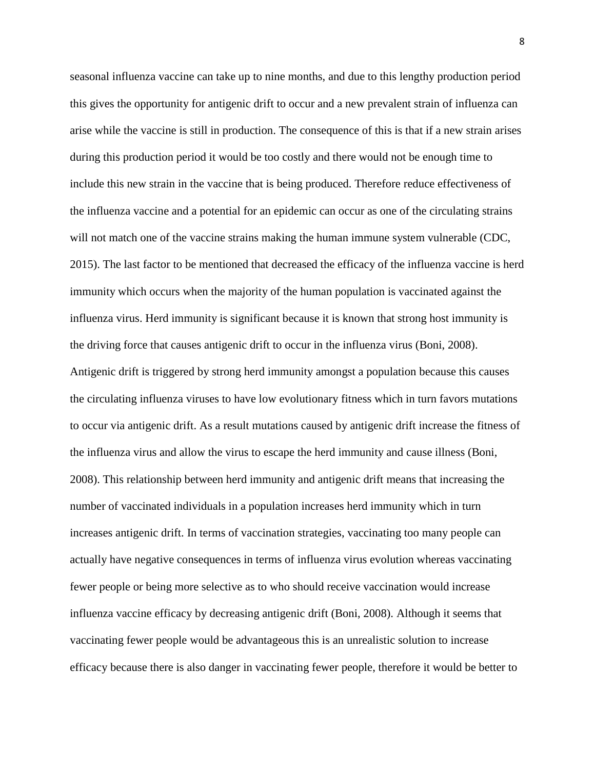seasonal influenza vaccine can take up to nine months, and due to this lengthy production period this gives the opportunity for antigenic drift to occur and a new prevalent strain of influenza can arise while the vaccine is still in production. The consequence of this is that if a new strain arises during this production period it would be too costly and there would not be enough time to include this new strain in the vaccine that is being produced. Therefore reduce effectiveness of the influenza vaccine and a potential for an epidemic can occur as one of the circulating strains will not match one of the vaccine strains making the human immune system vulnerable (CDC, 2015). The last factor to be mentioned that decreased the efficacy of the influenza vaccine is herd immunity which occurs when the majority of the human population is vaccinated against the influenza virus. Herd immunity is significant because it is known that strong host immunity is the driving force that causes antigenic drift to occur in the influenza virus (Boni, 2008). Antigenic drift is triggered by strong herd immunity amongst a population because this causes the circulating influenza viruses to have low evolutionary fitness which in turn favors mutations to occur via antigenic drift. As a result mutations caused by antigenic drift increase the fitness of the influenza virus and allow the virus to escape the herd immunity and cause illness (Boni, 2008). This relationship between herd immunity and antigenic drift means that increasing the number of vaccinated individuals in a population increases herd immunity which in turn increases antigenic drift. In terms of vaccination strategies, vaccinating too many people can actually have negative consequences in terms of influenza virus evolution whereas vaccinating fewer people or being more selective as to who should receive vaccination would increase influenza vaccine efficacy by decreasing antigenic drift (Boni, 2008). Although it seems that vaccinating fewer people would be advantageous this is an unrealistic solution to increase efficacy because there is also danger in vaccinating fewer people, therefore it would be better to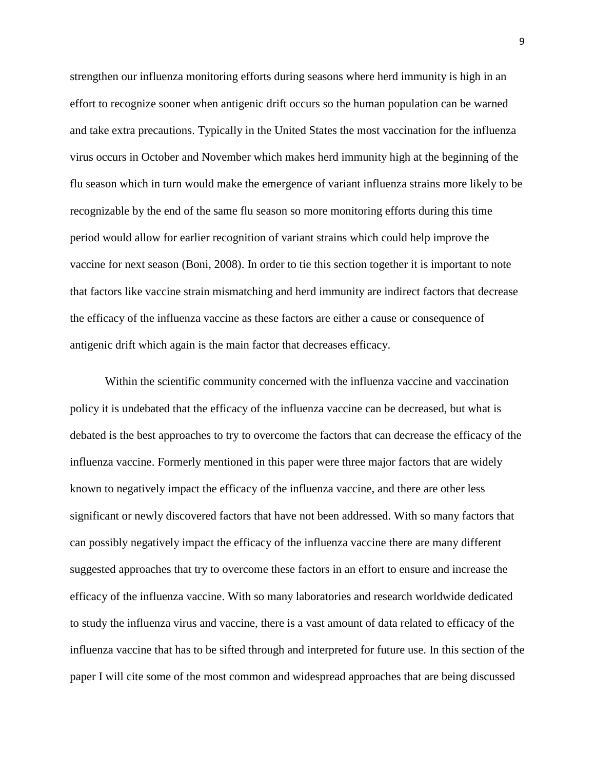strengthen our influenza monitoring efforts during seasons where herd immunity is high in an effort to recognize sooner when antigenic drift occurs so the human population can be warned and take extra precautions. Typically in the United States the most vaccination for the influenza virus occurs in October and November which makes herd immunity high at the beginning of the flu season which in turn would make the emergence of variant influenza strains more likely to be recognizable by the end of the same flu season so more monitoring efforts during this time period would allow for earlier recognition of variant strains which could help improve the vaccine for next season (Boni, 2008). In order to tie this section together it is important to note that factors like vaccine strain mismatching and herd immunity are indirect factors that decrease the efficacy of the influenza vaccine as these factors are either a cause or consequence of antigenic drift which again is the main factor that decreases efficacy.

Within the scientific community concerned with the influenza vaccine and vaccination policy it is undebated that the efficacy of the influenza vaccine can be decreased, but what is debated is the best approaches to try to overcome the factors that can decrease the efficacy of the influenza vaccine. Formerly mentioned in this paper were three major factors that are widely known to negatively impact the efficacy of the influenza vaccine, and there are other less significant or newly discovered factors that have not been addressed. With so many factors that can possibly negatively impact the efficacy of the influenza vaccine there are many different suggested approaches that try to overcome these factors in an effort to ensure and increase the efficacy of the influenza vaccine. With so many laboratories and research worldwide dedicated to study the influenza virus and vaccine, there is a vast amount of data related to efficacy of the influenza vaccine that has to be sifted through and interpreted for future use. In this section of the paper I will cite some of the most common and widespread approaches that are being discussed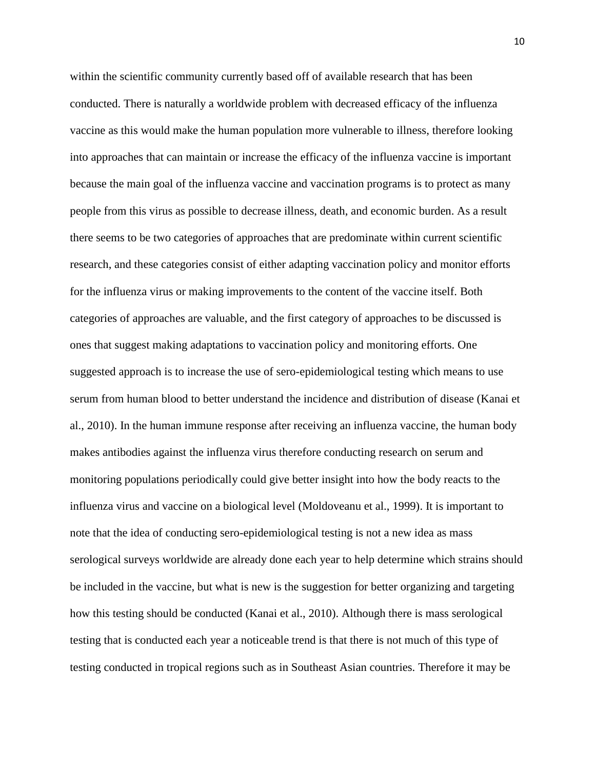within the scientific community currently based off of available research that has been conducted. There is naturally a worldwide problem with decreased efficacy of the influenza vaccine as this would make the human population more vulnerable to illness, therefore looking into approaches that can maintain or increase the efficacy of the influenza vaccine is important because the main goal of the influenza vaccine and vaccination programs is to protect as many people from this virus as possible to decrease illness, death, and economic burden. As a result there seems to be two categories of approaches that are predominate within current scientific research, and these categories consist of either adapting vaccination policy and monitor efforts for the influenza virus or making improvements to the content of the vaccine itself. Both categories of approaches are valuable, and the first category of approaches to be discussed is ones that suggest making adaptations to vaccination policy and monitoring efforts. One suggested approach is to increase the use of sero-epidemiological testing which means to use serum from human blood to better understand the incidence and distribution of disease (Kanai et al., 2010). In the human immune response after receiving an influenza vaccine, the human body makes antibodies against the influenza virus therefore conducting research on serum and monitoring populations periodically could give better insight into how the body reacts to the influenza virus and vaccine on a biological level (Moldoveanu et al., 1999). It is important to note that the idea of conducting sero-epidemiological testing is not a new idea as mass serological surveys worldwide are already done each year to help determine which strains should be included in the vaccine, but what is new is the suggestion for better organizing and targeting how this testing should be conducted (Kanai et al., 2010). Although there is mass serological testing that is conducted each year a noticeable trend is that there is not much of this type of testing conducted in tropical regions such as in Southeast Asian countries. Therefore it may be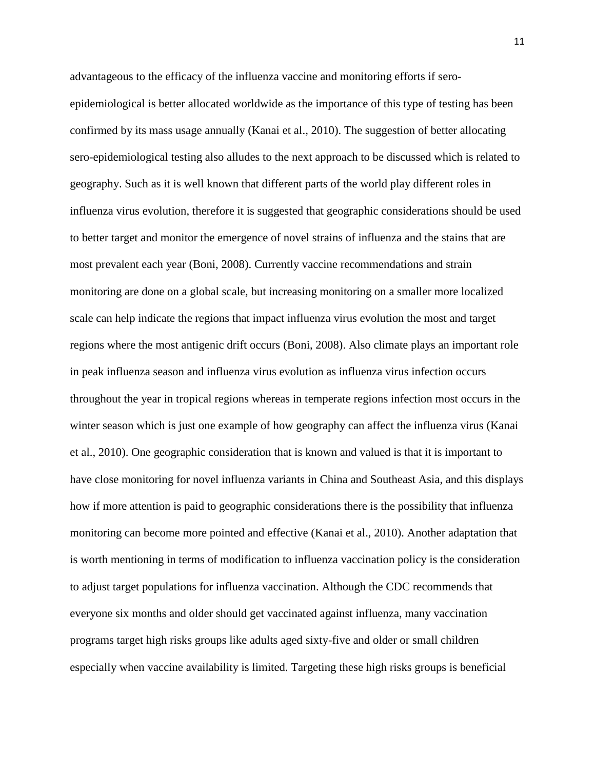advantageous to the efficacy of the influenza vaccine and monitoring efforts if seroepidemiological is better allocated worldwide as the importance of this type of testing has been confirmed by its mass usage annually (Kanai et al., 2010). The suggestion of better allocating sero-epidemiological testing also alludes to the next approach to be discussed which is related to geography. Such as it is well known that different parts of the world play different roles in influenza virus evolution, therefore it is suggested that geographic considerations should be used to better target and monitor the emergence of novel strains of influenza and the stains that are most prevalent each year (Boni, 2008). Currently vaccine recommendations and strain monitoring are done on a global scale, but increasing monitoring on a smaller more localized scale can help indicate the regions that impact influenza virus evolution the most and target regions where the most antigenic drift occurs (Boni, 2008). Also climate plays an important role in peak influenza season and influenza virus evolution as influenza virus infection occurs throughout the year in tropical regions whereas in temperate regions infection most occurs in the winter season which is just one example of how geography can affect the influenza virus (Kanai et al., 2010). One geographic consideration that is known and valued is that it is important to have close monitoring for novel influenza variants in China and Southeast Asia, and this displays how if more attention is paid to geographic considerations there is the possibility that influenza monitoring can become more pointed and effective (Kanai et al., 2010). Another adaptation that is worth mentioning in terms of modification to influenza vaccination policy is the consideration to adjust target populations for influenza vaccination. Although the CDC recommends that everyone six months and older should get vaccinated against influenza, many vaccination programs target high risks groups like adults aged sixty-five and older or small children especially when vaccine availability is limited. Targeting these high risks groups is beneficial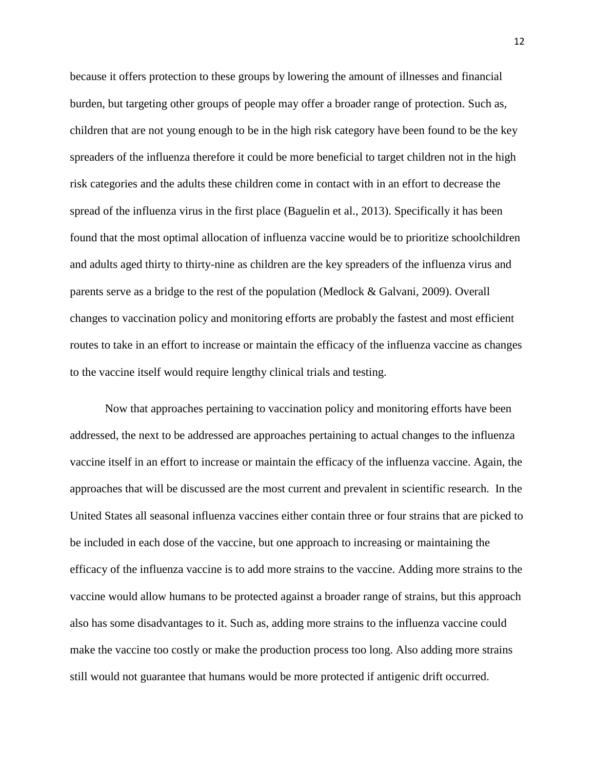because it offers protection to these groups by lowering the amount of illnesses and financial burden, but targeting other groups of people may offer a broader range of protection. Such as, children that are not young enough to be in the high risk category have been found to be the key spreaders of the influenza therefore it could be more beneficial to target children not in the high risk categories and the adults these children come in contact with in an effort to decrease the spread of the influenza virus in the first place (Baguelin et al., 2013). Specifically it has been found that the most optimal allocation of influenza vaccine would be to prioritize schoolchildren and adults aged thirty to thirty-nine as children are the key spreaders of the influenza virus and parents serve as a bridge to the rest of the population (Medlock & Galvani, 2009). Overall changes to vaccination policy and monitoring efforts are probably the fastest and most efficient routes to take in an effort to increase or maintain the efficacy of the influenza vaccine as changes to the vaccine itself would require lengthy clinical trials and testing.

Now that approaches pertaining to vaccination policy and monitoring efforts have been addressed, the next to be addressed are approaches pertaining to actual changes to the influenza vaccine itself in an effort to increase or maintain the efficacy of the influenza vaccine. Again, the approaches that will be discussed are the most current and prevalent in scientific research. In the United States all seasonal influenza vaccines either contain three or four strains that are picked to be included in each dose of the vaccine, but one approach to increasing or maintaining the efficacy of the influenza vaccine is to add more strains to the vaccine. Adding more strains to the vaccine would allow humans to be protected against a broader range of strains, but this approach also has some disadvantages to it. Such as, adding more strains to the influenza vaccine could make the vaccine too costly or make the production process too long. Also adding more strains still would not guarantee that humans would be more protected if antigenic drift occurred.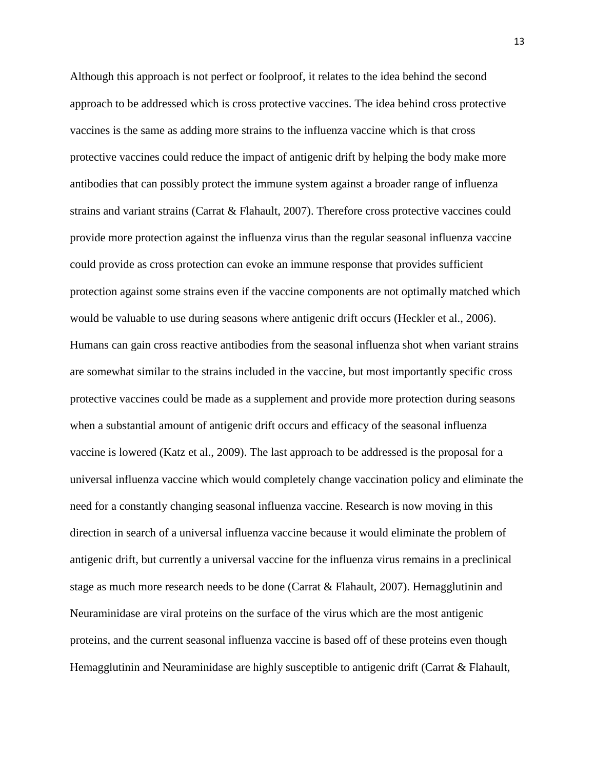Although this approach is not perfect or foolproof, it relates to the idea behind the second approach to be addressed which is cross protective vaccines. The idea behind cross protective vaccines is the same as adding more strains to the influenza vaccine which is that cross protective vaccines could reduce the impact of antigenic drift by helping the body make more antibodies that can possibly protect the immune system against a broader range of influenza strains and variant strains (Carrat & Flahault, 2007). Therefore cross protective vaccines could provide more protection against the influenza virus than the regular seasonal influenza vaccine could provide as cross protection can evoke an immune response that provides sufficient protection against some strains even if the vaccine components are not optimally matched which would be valuable to use during seasons where antigenic drift occurs (Heckler et al., 2006). Humans can gain cross reactive antibodies from the seasonal influenza shot when variant strains are somewhat similar to the strains included in the vaccine, but most importantly specific cross protective vaccines could be made as a supplement and provide more protection during seasons when a substantial amount of antigenic drift occurs and efficacy of the seasonal influenza vaccine is lowered (Katz et al., 2009). The last approach to be addressed is the proposal for a universal influenza vaccine which would completely change vaccination policy and eliminate the need for a constantly changing seasonal influenza vaccine. Research is now moving in this direction in search of a universal influenza vaccine because it would eliminate the problem of antigenic drift, but currently a universal vaccine for the influenza virus remains in a preclinical stage as much more research needs to be done (Carrat & Flahault, 2007). Hemagglutinin and Neuraminidase are viral proteins on the surface of the virus which are the most antigenic proteins, and the current seasonal influenza vaccine is based off of these proteins even though Hemagglutinin and Neuraminidase are highly susceptible to antigenic drift (Carrat & Flahault,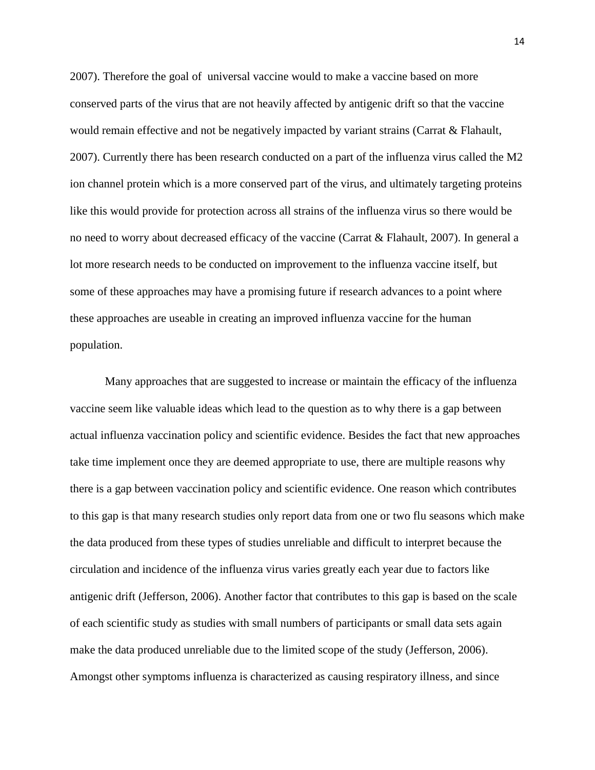2007). Therefore the goal of universal vaccine would to make a vaccine based on more conserved parts of the virus that are not heavily affected by antigenic drift so that the vaccine would remain effective and not be negatively impacted by variant strains (Carrat & Flahault, 2007). Currently there has been research conducted on a part of the influenza virus called the M2 ion channel protein which is a more conserved part of the virus, and ultimately targeting proteins like this would provide for protection across all strains of the influenza virus so there would be no need to worry about decreased efficacy of the vaccine (Carrat & Flahault, 2007). In general a lot more research needs to be conducted on improvement to the influenza vaccine itself, but some of these approaches may have a promising future if research advances to a point where these approaches are useable in creating an improved influenza vaccine for the human population.

Many approaches that are suggested to increase or maintain the efficacy of the influenza vaccine seem like valuable ideas which lead to the question as to why there is a gap between actual influenza vaccination policy and scientific evidence. Besides the fact that new approaches take time implement once they are deemed appropriate to use, there are multiple reasons why there is a gap between vaccination policy and scientific evidence. One reason which contributes to this gap is that many research studies only report data from one or two flu seasons which make the data produced from these types of studies unreliable and difficult to interpret because the circulation and incidence of the influenza virus varies greatly each year due to factors like antigenic drift (Jefferson, 2006). Another factor that contributes to this gap is based on the scale of each scientific study as studies with small numbers of participants or small data sets again make the data produced unreliable due to the limited scope of the study (Jefferson, 2006). Amongst other symptoms influenza is characterized as causing respiratory illness, and since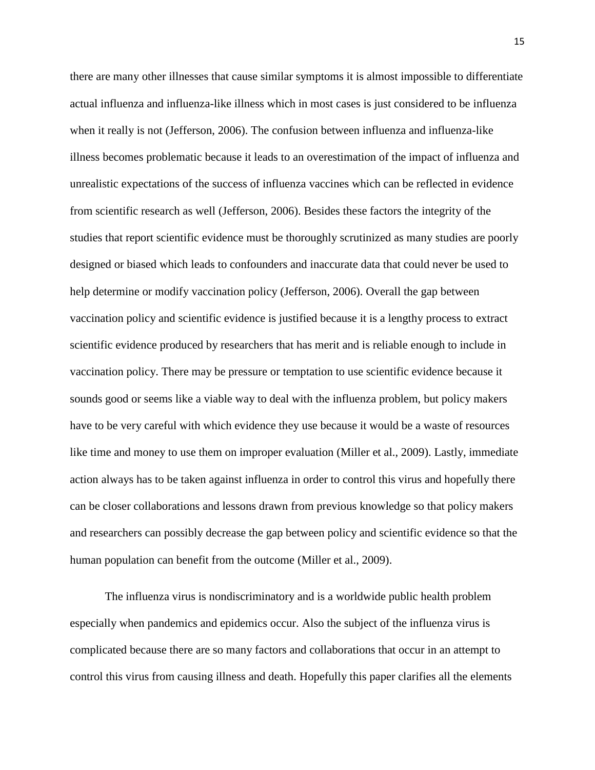there are many other illnesses that cause similar symptoms it is almost impossible to differentiate actual influenza and influenza-like illness which in most cases is just considered to be influenza when it really is not (Jefferson, 2006). The confusion between influenza and influenza-like illness becomes problematic because it leads to an overestimation of the impact of influenza and unrealistic expectations of the success of influenza vaccines which can be reflected in evidence from scientific research as well (Jefferson, 2006). Besides these factors the integrity of the studies that report scientific evidence must be thoroughly scrutinized as many studies are poorly designed or biased which leads to confounders and inaccurate data that could never be used to help determine or modify vaccination policy (Jefferson, 2006). Overall the gap between vaccination policy and scientific evidence is justified because it is a lengthy process to extract scientific evidence produced by researchers that has merit and is reliable enough to include in vaccination policy. There may be pressure or temptation to use scientific evidence because it sounds good or seems like a viable way to deal with the influenza problem, but policy makers have to be very careful with which evidence they use because it would be a waste of resources like time and money to use them on improper evaluation (Miller et al., 2009). Lastly, immediate action always has to be taken against influenza in order to control this virus and hopefully there can be closer collaborations and lessons drawn from previous knowledge so that policy makers and researchers can possibly decrease the gap between policy and scientific evidence so that the human population can benefit from the outcome (Miller et al., 2009).

The influenza virus is nondiscriminatory and is a worldwide public health problem especially when pandemics and epidemics occur. Also the subject of the influenza virus is complicated because there are so many factors and collaborations that occur in an attempt to control this virus from causing illness and death. Hopefully this paper clarifies all the elements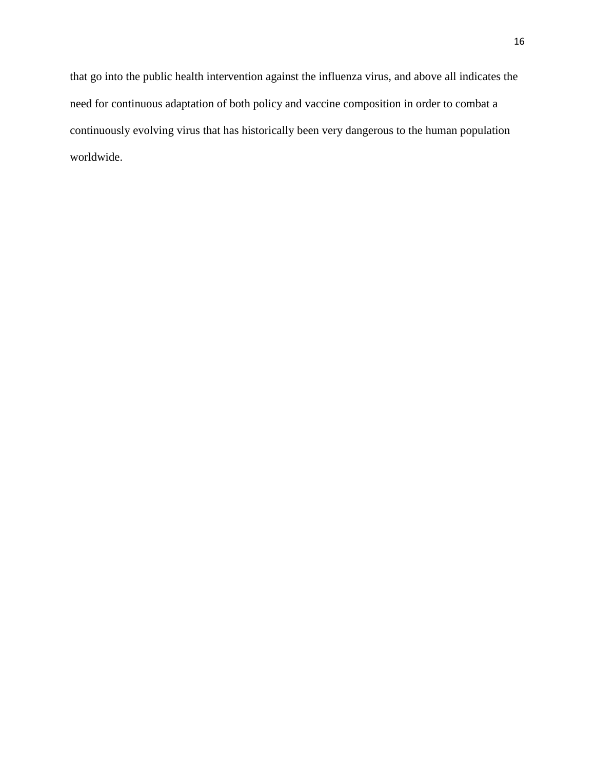that go into the public health intervention against the influenza virus, and above all indicates the need for continuous adaptation of both policy and vaccine composition in order to combat a continuously evolving virus that has historically been very dangerous to the human population worldwide.